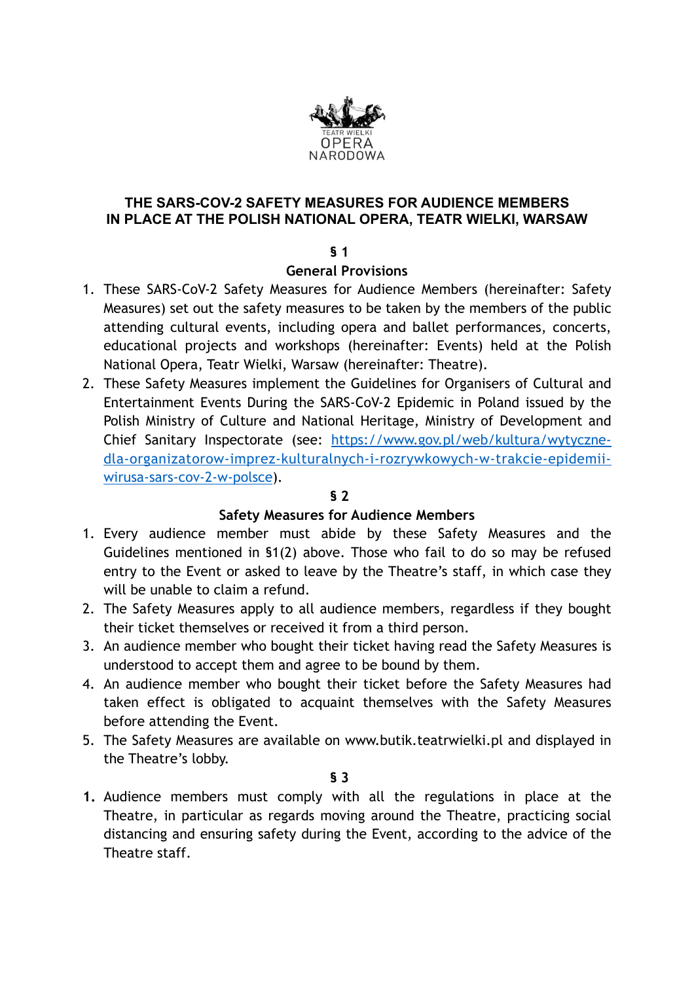

## **THE SARS-COV-2 SAFETY MEASURES FOR AUDIENCE MEMBERS IN PLACE AT THE POLISH NATIONAL OPERA, TEATR WIELKI, WARSAW**

## **§ 1**

## **General Provisions**

- 1. These SARS-CoV-2 Safety Measures for Audience Members (hereinafter: Safety Measures) set out the safety measures to be taken by the members of the public attending cultural events, including opera and ballet performances, concerts, educational projects and workshops (hereinafter: Events) held at the Polish National Opera, Teatr Wielki, Warsaw (hereinafter: Theatre).
- 2. These Safety Measures implement the Guidelines for Organisers of Cultural and Entertainment Events During the SARS-CoV-2 Epidemic in Poland issued by the Polish Ministry of Culture and National Heritage, Ministry of Development and Chief Sanitary Inspectorate (see: [https://www.gov.pl/web/kultura/wytyczne](https://www.gov.pl/web/kultura/wytyczne-dla-organizatorow-imprez-kulturalnych-i-rozrywkowych-w-trakcie-epidemii-wirusa-sars-cov-2-w-polsce)[dla-organizatorow-imprez-kulturalnych-i-rozrywkowych-w-trakcie-epidemii](https://www.gov.pl/web/kultura/wytyczne-dla-organizatorow-imprez-kulturalnych-i-rozrywkowych-w-trakcie-epidemii-wirusa-sars-cov-2-w-polsce)[wirusa-sars-cov-2-w-polsce\)](https://www.gov.pl/web/kultura/wytyczne-dla-organizatorow-imprez-kulturalnych-i-rozrywkowych-w-trakcie-epidemii-wirusa-sars-cov-2-w-polsce)*.*

# **§ 2**

# **Safety Measures for Audience Members**

- 1. Every audience member must abide by these Safety Measures and the Guidelines mentioned in §1(2) above. Those who fail to do so may be refused entry to the Event or asked to leave by the Theatre's staff, in which case they will be unable to claim a refund.
- 2. The Safety Measures apply to all audience members, regardless if they bought their ticket themselves or received it from a third person.
- 3. An audience member who bought their ticket having read the Safety Measures is understood to accept them and agree to be bound by them.
- 4. An audience member who bought their ticket before the Safety Measures had taken effect is obligated to acquaint themselves with the Safety Measures before attending the Event.
- 5. The Safety Measures are available on www.butik.teatrwielki.pl and displayed in the Theatre's lobby.

**§ 3** 

**1.** Audience members must comply with all the regulations in place at the Theatre, in particular as regards moving around the Theatre, practicing social distancing and ensuring safety during the Event, according to the advice of the Theatre staff.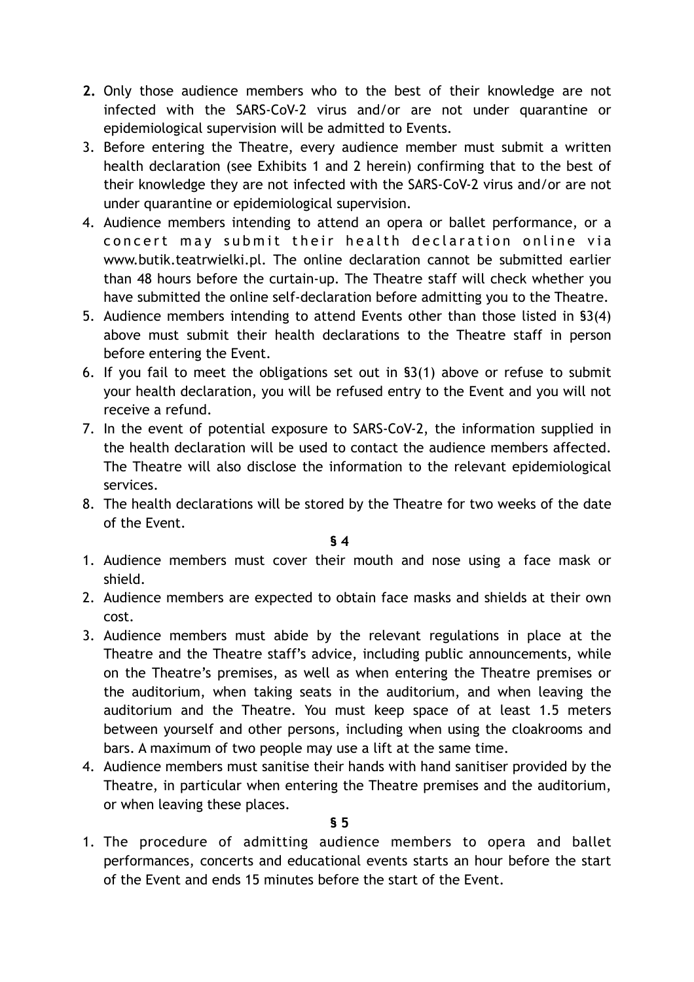- **2.** Only those audience members who to the best of their knowledge are not infected with the SARS-CoV-2 virus and/or are not under quarantine or epidemiological supervision will be admitted to Events.
- 3. Before entering the Theatre, every audience member must submit a written health declaration (see Exhibits 1 and 2 herein) confirming that to the best of their knowledge they are not infected with the SARS-CoV-2 virus and/or are not under quarantine or epidemiological supervision.
- 4. Audience members intending to attend an opera or ballet performance, or a concert may submit their health declaration online via www.butik.teatrwielki.pl. The online declaration cannot be submitted earlier than 48 hours before the curtain-up. The Theatre staff will check whether you have submitted the online self-declaration before admitting you to the Theatre.
- 5. Audience members intending to attend Events other than those listed in §3(4) above must submit their health declarations to the Theatre staff in person before entering the Event.
- 6. If you fail to meet the obligations set out in §3(1) above or refuse to submit your health declaration, you will be refused entry to the Event and you will not receive a refund.
- 7. In the event of potential exposure to SARS-CoV-2, the information supplied in the health declaration will be used to contact the audience members affected. The Theatre will also disclose the information to the relevant epidemiological services.
- 8. The health declarations will be stored by the Theatre for two weeks of the date of the Event.

**§ 4** 

- 1. Audience members must cover their mouth and nose using a face mask or shield.
- 2. Audience members are expected to obtain face masks and shields at their own cost.
- 3. Audience members must abide by the relevant regulations in place at the Theatre and the Theatre staff's advice, including public announcements, while on the Theatre's premises, as well as when entering the Theatre premises or the auditorium, when taking seats in the auditorium, and when leaving the auditorium and the Theatre. You must keep space of at least 1.5 meters between yourself and other persons, including when using the cloakrooms and bars. A maximum of two people may use a lift at the same time.
- 4. Audience members must sanitise their hands with hand sanitiser provided by the Theatre, in particular when entering the Theatre premises and the auditorium, or when leaving these places.

1. The procedure of admitting audience members to opera and ballet performances, concerts and educational events starts an hour before the start of the Event and ends 15 minutes before the start of the Event.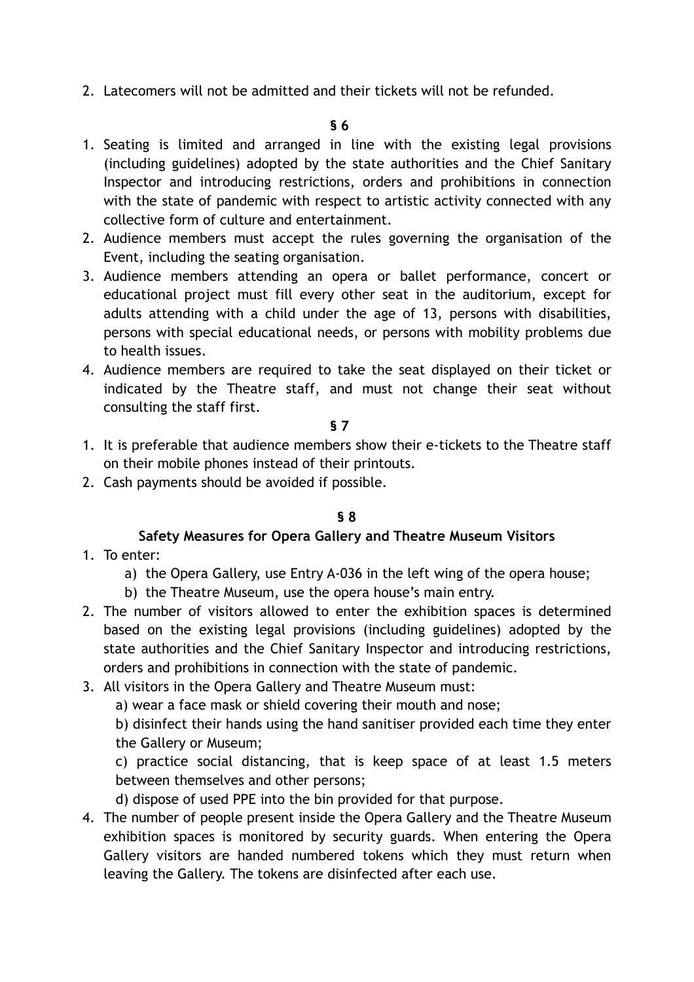2. Latecomers will not be admitted and their tickets will not be refunded.

- 1. Seating is limited and arranged in line with the existing legal provisions (including guidelines) adopted by the state authorities and the Chief Sanitary Inspector and introducing restrictions, orders and prohibitions in connection with the state of pandemic with respect to artistic activity connected with any collective form of culture and entertainment.
- 2. Audience members must accept the rules governing the organisation of the Event, including the seating organisation.
- 3. Audience members attending an opera or ballet performance, concert or educational project must fill every other seat in the auditorium, except for adults attending with a child under the age of 13, persons with disabilities, persons with special educational needs, or persons with mobility problems due to health issues.
- 4. Audience members are required to take the seat displayed on their ticket or indicated by the Theatre staff, and must not change their seat without consulting the staff first.

#### **§ 7**

- 1. It is preferable that audience members show their e-tickets to the Theatre staff on their mobile phones instead of their printouts.
- 2. Cash payments should be avoided if possible.

### **§ 8**

# **Safety Measures for Opera Gallery and Theatre Museum Visitors**

- 1. To enter:
	- a) the Opera Gallery, use Entry A-036 in the left wing of the opera house;
	- b) the Theatre Museum, use the opera house's main entry.
- 2. The number of visitors allowed to enter the exhibition spaces is determined based on the existing legal provisions (including guidelines) adopted by the state authorities and the Chief Sanitary Inspector and introducing restrictions, orders and prohibitions in connection with the state of pandemic.
- 3. All visitors in the Opera Gallery and Theatre Museum must:
	- a) wear a face mask or shield covering their mouth and nose;

b) disinfect their hands using the hand sanitiser provided each time they enter the Gallery or Museum;

c) practice social distancing, that is keep space of at least 1.5 meters between themselves and other persons;

d) dispose of used PPE into the bin provided for that purpose.

4. The number of people present inside the Opera Gallery and the Theatre Museum exhibition spaces is monitored by security guards. When entering the Opera Gallery visitors are handed numbered tokens which they must return when leaving the Gallery. The tokens are disinfected after each use.